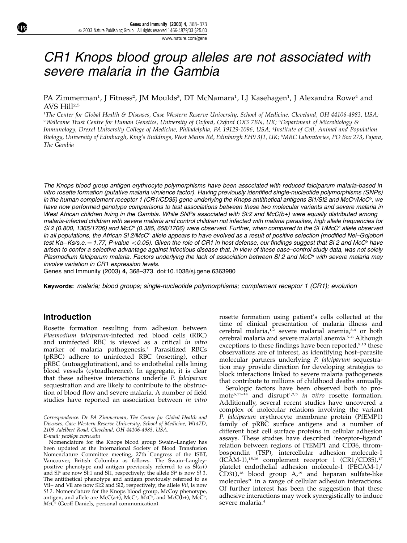# CR1 Knops blood group alleles are not associated with severe malaria in the Gambia

## PA Zimmerman<sup>1</sup>, J Fitness<sup>2</sup>, JM Moulds<sup>3</sup>, DT McNamara<sup>1</sup>, LJ Kasehagen<sup>1</sup>, J Alexandra Rowe<sup>4</sup> and AVS Hill<sup>2,5</sup>

1 The Center for Global Health & Diseases, Case Western Reserve University, School of Medicine, Cleveland, OH 44106-4983, USA; <sup>2</sup>Wellcome Trust Centre for Human Genetics, University of Oxford, Oxford OX3 7BN, UK; <sup>3</sup>Department of Microbiology & Immunology, Drexel University College of Medicine, Philadelphia, PA 19129-1096, USA; <sup>4</sup> Institute of Cell, Animal and Population Biology, University of Edinburgh, King's Buildings, West Mains Rd, Edinburgh EH9 3JT, UK; <sup>5</sup> MRC Laboratories, PO Box 273, Fajara, The Gambia

The Knops blood group antigen erythrocyte polymorphisms have been associated with reduced falciparum malaria-based in vitro rosette formation (putative malaria virulence factor). Having previously identified single-nucleotide polymorphisms (SNPs) in the human complement receptor 1 (CR1/CD35) gene underlying the Knops antithetical antigens SI1/SI2 and McCª/McC<sup>b</sup>, we have now performed genotype comparisons to test associations between these two molecular variants and severe malaria in West African children living in the Gambia. While SNPs associated with SI:2 and McC(b+) were equally distributed among malaria-infected children with severe malaria and control children not infected with malaria parasites, high allele frequencies for SI 2 (0.800, 1365/1706) and McC<sup>b</sup> (0.385, 658/1706) were observed. Further, when compared to the SI 1/McC<sup>a</sup> allele observed in all populations, the African SI 2/McC<sup>b</sup> allele appears to have evolved as a result of positive selection (modified Nei–Gojobori test Ka-Ks/s.e.  $= 1.77$ , P-value  $< 0.05$ ). Given the role of CR1 in host defense, our findings suggest that SI 2 and McC<sup>b</sup> have arisen to confer a selective advantage against infectious disease that, in view of these case–control study data, was not solely Plasmodium falciparum malaria. Factors underlying the lack of association between SI 2 and McC<sup>b</sup> with severe malaria may involve variation in CR1 expression levels.

Genes and Immunity (2003) 4, 368–373. doi:10.1038/sj.gene.6363980

Keywords: malaria; blood groups; single-nucleotide polymorphisms; complement receptor 1 (CR1); evolution

## Introduction

Rosette formation resulting from adhesion between Plasmodium falciparum-infected red blood cells (RBC) and uninfected RBC is viewed as a critical in vitro marker of malaria pathogenesis.<sup>1</sup> Parasitized RBCs (pRBC) adhere to uninfected RBC (rosetting), other pRBC (autoagglutination), and to endothelial cells lining blood vessels (cytoadherence). In aggregate, it is clear that these adhesive interactions underlie P. falciparum sequestration and are likely to contribute to the obstruction of blood flow and severe malaria. A number of field studies have reported an association between in vitro rosette formation using patient's cells collected at the time of clinical presentation of malaria illness and cerebral malaria,<sup>1,2</sup> severe malarial anemia,<sup>3,4</sup> or both cerebral malaria and severe malarial anemia.<sup>5-8</sup> Although exceptions to these findings have been reported,  $9,10$  these observations are of interest, as identifying host–parasite molecular partners underlying P. falciparum sequestration may provide direction for developing strategies to block interactions linked to severe malaria pathogenesis that contribute to millions of childhood deaths annually.

Serologic factors have been observed both to promote<sup>6,11–14</sup> and disrupt<sup>1,2,5</sup> in vitro rosette formation. Additionally, several recent studies have uncovered a complex of molecular relations involving the variant P. falciparum erythrocyte membrane protein (PfEMP1) family of pRBC surface antigens and a number of different host cell surface proteins in cellular adhesion assays. These studies have described 'receptor–ligand' relation between regions of PfEMP1 and CD36, thrombospondin (TSP), intercellular adhesion molecule-1  $(ICAM-1),$ <sup>15,16</sup> complement receptor 1  $(CR1/CD35),$ <sup>17</sup> platelet endothelial adhesion molecule-1 (PECAM-1/  $CD31$ ,<sup>18</sup> blood group  $A$ ,<sup>19</sup> and heparan sulfate-like molecules<sup>20</sup> in a range of cellular adhesion interactions. Of further interest has been the suggestion that these adhesive interactions may work synergistically to induce severe malaria.<sup>4</sup>

Correspondence: Dr PA Zimmerman, The Center for Global Health and Diseases, Case Western Reserve University, School of Medicine, W147D, 2109 Adelbert Road, Cleveland, OH 44106-4983, USA.

E-mail: paz@po.cwru.edu

Nomenclature for the Knops blood group Swain–Langley has been updated at the International Society of Blood Transfusion Nomenclature Committee meeting, 27th Congress of the ISBT, Vancouver, British Columbia as follows. The Swain–Langleypositive phenotype and antigen previously referred to as  $\overrightarrow{S}(a+)$ and Sl<sup>a</sup> are now Sl:1 and Sl1, respectively; the allele  $S<sup>l</sup>$  is now Sl 1. The antithetical phenotype and antigen previously referred to as Vil+ and Vil are now Sl:2 and Sl2, respectively; the allele Vil, is now Sl 2. Nomenclature for the Knops blood group, McCoy phenotype, antigen, and allele are McC(a+), McC<sup>a</sup>, McC<sup>a</sup>, and McC(b+), McC<sup>b</sup>,  $McC<sup>b</sup>$  (Geoff Daniels, personal communication).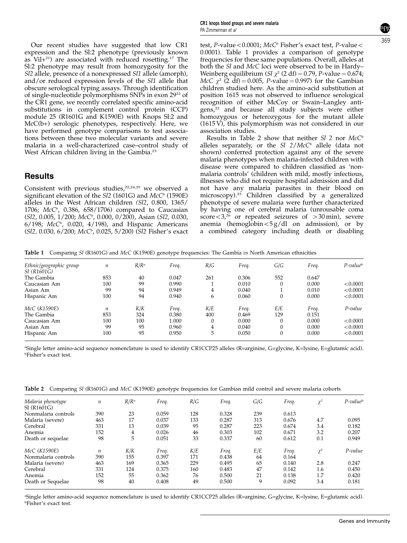Our recent studies have suggested that low CR1 expression and the Sl:2 phenotype (previously known as  $Vil+21$  are associated with reduced rosetting.<sup>17</sup> The Sl:2 phenotype may result from homozygosity for the Sl2 allele, presence of a nonexpressed Sl1 allele (amorph), and/or reduced expression levels of the Sl1 allele that obscure serological typing assays. Through identification of single-nucleotide polymorphisms SNPs in exon 29<sup>22</sup> of the CR1 gene, we recently correlated specific amino-acid substitutions in complement control protein (CCP) module 25 (R1601G and K1590E) with Knops Sl:2 and McC(b+) serologic phenotypes, respectively. Here, we have performed genotype comparisons to test associations between these two molecular variants and severe malaria in a well-characterized case–control study of West African children living in the Gambia.<sup>23</sup>

## **Results**

Consistent with previous studies,<sup>22,24,25</sup> we observed a significant elevation of the  $SI2$  (1601G) and  $McC<sup>b</sup>$  (1590E) alleles in the West African children (Sl2, 0.800, 1365/ 1706;  $McC<sup>b</sup>$ , 0.386, 658/1706) compared to Caucasian  $(Sl2, 0.005, 1/200; McC<sup>b</sup>, 0.000, 0/200)$ , Asian  $(Sl2, 0.030, 0.030)$  $6/198$ ;  $McC<sup>b</sup>$ , 0.020, 4/198), and Hispanic Americans (Sl2, 0.030, 6/200; McC<sup>b</sup>, 0.025, 5/200) (Sl2 Fisher's exact

369

test, P-value < 0.0001; McC<sup>b</sup> Fisher's exact test, P-value < 0.0001). Table 1 provides a comparison of genotype frequencies for these same populations. Overall, alleles at both the Sl and McC loci were observed to be in Hardy– Weinberg equilibrium (Sl  $\chi^2$  (2 df) = 0.79, P-value = 0.674; McC  $\chi^2$  (2 df) = 0.005, P-value = 0.997) for the Gambian children studied here. As the amino-acid substitution at position 1615 was not observed to influence serological recognition of either McCoy or Swain–Langley antigens,<sup>22</sup> and because all study subjects were either homozygous or heterozygous for the mutant allele (1615 V), this polymorphism was not considered in our association studies.

Results in Table 2 show that neither  $SI$  2 nor  $McC<sup>b</sup>$ alleles separately, or the  $SI$   $2/McC<sup>b</sup>$  allele (data not shown) conferred protection against any of the severe malaria phenotypes when malaria-infected children with disease were compared to children classified as 'nonmalaria controls' (children with mild, mostly infectious, illnesses who did not require hospital admission and did not have any malaria parasites in their blood on microscopy).<sup>23</sup> Children classified by a generalized phenotype of severe malaria were further characterized by having one of cerebral malaria (unrousable coma score $<$ 3,<sup>26</sup> or repeated seizures of  $>$ 30 min), severe anemia (hemoglobin $< 5 g/dl$  on admission), or by a combined category including death or disabling

Table 1 Comparing Sl (R1601G) and McC (K1590E) genotype frequencies: The Gambia vs North American ethnicities

| Ethnic/geographic group | $\it n$ | R/R <sup>a</sup> | Freq. | R/G | Freq. | G/G      | Freq. | $P$ -value <sup>b</sup> |
|-------------------------|---------|------------------|-------|-----|-------|----------|-------|-------------------------|
| SI (R1601G)             |         |                  |       |     |       |          |       |                         |
| The Gambia              | 853     | 40               | 0.047 | 261 | 0.306 | 552      | 0.647 |                         |
| Caucasian Am            | 100     | 99               | 0.990 |     | 0.010 | $\theta$ | 0.000 | < 0.0001                |
| Asian Am                | 99      | 94               | 0.949 | 4   | 0.040 |          | 0.010 | < 0.0001                |
| Hispanic Am             | 100     | 94               | 0.940 | 6   | 0.060 | $\theta$ | 0.000 | < 0.0001                |
| McC (K1590E)            | n       | K/K              | Freq. | K/E | Freq. | E/E      | Freq. | P-value                 |
| The Gambia              | 853     | 324              | 0.380 | 400 | 0.469 | 129      | 0.151 |                         |
| Caucasian Am            | 100     | 100              | 1.000 |     | 0.000 | $\theta$ | 0.000 | < 0.0001                |
| Asian Am                | 99      | 95               | 0.960 | 4   | 0.040 | $\theta$ | 0.000 | < 0.0001                |
| Hispanic Am             | 100     | 95               | 0.950 | 5   | 0.050 | $\theta$ | 0.000 | < 0.0001                |

a Single letter amino-acid sequence nomenclature is used to identify CR1CCP25 alleles (R=arginine, G=glycine, K=lysine, E=glutamic acid). b Fisher's exact test.

|  |  |  | Table 2 Comparing SI (R1601G) and McC (K1590E) genotype frequencies for Gambian mild control and severe malaria cohorts |  |
|--|--|--|-------------------------------------------------------------------------------------------------------------------------|--|
|--|--|--|-------------------------------------------------------------------------------------------------------------------------|--|

| Malaria phenotype   | $\boldsymbol{n}$ | R/R <sup>a</sup> | Freq. | R/G | Freq. | G/G | Freq. | $\gamma^2$ | $P$ -value <sup>b</sup> |
|---------------------|------------------|------------------|-------|-----|-------|-----|-------|------------|-------------------------|
| SI (R1601G)         |                  |                  |       |     |       |     |       |            |                         |
| Nonmalaria controls | 390              | 23               | 0.059 | 128 | 0.328 | 239 | 0.613 |            |                         |
| Malaria (severe)    | 463              | 17               | 0.037 | 133 | 0.287 | 313 | 0.676 | 4.7        | 0.095                   |
| Cerebral            | 331              | 13               | 0.039 | 95  | 0.287 | 223 | 0.674 | 3.4        | 0.182                   |
| Anemia              | 152              | 4                | 0.026 | 46  | 0.303 | 102 | 0.671 | 3.2        | 0.207                   |
| Death or sequelae   | 98               | 5                | 0.051 | 33  | 0.337 | 60  | 0.612 | 0.1        | 0.949                   |
| McC (K1590E)        | $\boldsymbol{n}$ | K/K              | Freq. | K/E | Freq. | E/E | Freq. | $\gamma^2$ | P-value                 |
| Nonmalaria controls | 390              | 155              | 0.397 | 171 | 0.438 | 64  | 0.164 |            |                         |
| Malaria (severe)    | 463              | 169              | 0.365 | 229 | 0.495 | 65  | 0.140 | 2.8        | 0.247                   |
| Cerebral            | 331              | 124              | 0.375 | 160 | 0.483 | 47  | 0.142 | 1.6        | 0.450                   |
| Anemia              | 152              | 55               | 0.362 | 76  | 0.500 | 21  | 0.138 | 1.7        | 0.420                   |
| Death or Sequelae   | 98               | 40               | 0.408 | 49  | 0.500 | 9   | 0.092 | 3.4        | 0.181                   |

a Single letter amino-acid sequence nomenclature is used to identify CR1CCP25 alleles (R=arginine, G=glycine, K=lysine, E=glutamic acid). b Fisher's exact test.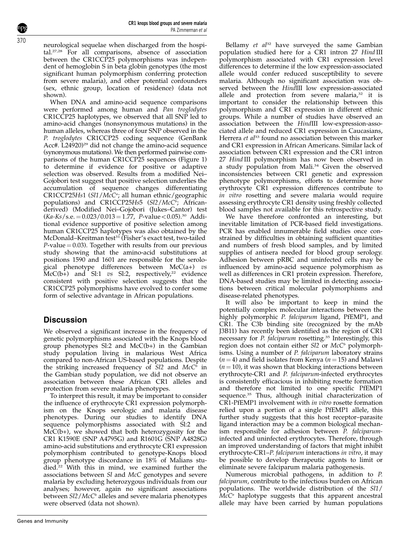Genes and Immunity

neurological sequelae when discharged from the hospital.27,28 For all comparisons, absence of association between the CR1CCP25 polymorphisms was independent of hemoglobin S in beta globin genotypes (the most significant human polymorphism conferring protection from severe malaria), and other potential confounders (sex, ethnic group, location of residence) (data not shown).

When DNA and amino-acid sequence comparisons were performed among human and Pan troglodytes CR1CCP25 haplotypes, we observed that all SNP led to amino-acid changes (nonsynonymous mutations) in the human alleles, whereas three of four SNP observed in the P. troglodytes CR1CCP25 coding sequence (GenBank Acc#. L24920)<sup>29</sup> did not change the amino-acid sequence (synonymous mutations). We then performed pairwise comparisons of the human CR1CCP25 sequences (Figure 1) to determine if evidence for positive or adaptive selection was observed. Results from a modified Nei– Gojobori test suggest that positive selection underlies the accumulation of sequence changes differentiating CR1CCP25Hs1 (Sl1/McC<sup>a</sup>; all human ethnic/geographic populations) and CR1CCP25Hs5 (Sl2/McC<sup>b</sup>; Africanderived) (Modified Nei–Gojobori (Jukes–Cantor) test  $(Ka-Ks/s.e. = 0.023/0.013 = 1.77, P-value < 0.05$ .<sup>30</sup> Additional evidence supportive of positive selection among human CR1CCP25 haplotypes was also obtained by the McDonald–Kreitman test<sup>31</sup> (Fisher's exact test, two-tailed  $P$ -value = 0.03). Together with results from our previous study showing that the amino-acid substitutions at positions 1590 and 1601 are responsible for the serological phenotype differences between McC(a+)  $vs$ McC(b+) and Sl:1 vs Sl:2, respectively,<sup>22</sup> evidence consistent with positive selection suggests that the CR1CCP25 polymorphisms have evolved to confer some form of selective advantage in African populations.

## **Discussion**

We observed a significant increase in the frequency of genetic polymorphisms associated with the Knops blood group phenotypes Sl:2 and McC(b+) in the Gambian study population living in malarious West Africa compared to non-African US-based populations. Despite the striking increased frequency of  $SI2$  and  $McC^{\overline{b}}$  in the Gambian study population, we did not observe an association between these African CR1 alleles and protection from severe malaria phenotypes.

To interpret this result, it may be important to consider the influence of erythrocyte CR1 expression polymorphism on the Knops serologic and malaria disease phenotypes. During our studies to identify DNA sequence polymorphisms associated with Sl:2 and McC(b+), we showed that both heterozygosity for the CR1 K1590E (SNP A4795G) and R1601G (SNP A4828G) amino-acid substitutions and erythrocyte CR1 expression polymorphism contributed to genotype-Knops blood group phenotype discordance in 18% of Malians studied.22 With this in mind, we examined further the associations between Sl and McC genotypes and severe malaria by excluding heterozygous individuals from our analyses; however, again no significant associations between Sl2/McC<sup>b</sup> alleles and severe malaria phenotypes were observed (data not shown).

Bellamy  $et$   $al^{32}$  have surveyed the same Gambian population studied here for a CR1 intron 27 Hind III polymorphism associated with CR1 expression level differences to determine if the low expression-associated allele would confer reduced susceptibility to severe malaria. Although no significant association was observed between the HindIII low expression-associated allele and protection from severe malaria, $32$  it is important to consider the relationship between this polymorphism and CR1 expression in different ethnic groups. While a number of studies have observed an association between the HindIII low-expression-associated allele and reduced CR1 expression in Caucasians, Herrera et al<sup>33</sup> found no association between this marker and CR1 expression in African Americans. Similar lack of association between CR1 expression and the CR1 intron 27 Hind III polymorphism has now been observed in a study population from Mali.<sup>34</sup> Given the observed inconsistencies between CR1 genetic and expression phenotype polymorphisms, efforts to determine how erythrocyte CR1 expression differences contribute to in vitro rosetting and severe malaria would require assessing erythrocyte CR1 density using freshly collected blood samples not available for this retrospective study.

We have therefore confronted an interesting, but inevitable limitation of PCR-based field investigations. PCR has enabled innumerable field studies once constrained by difficulties in obtaining sufficient quantities and numbers of fresh blood samples, and by limited supplies of antisera needed for blood group serology. Adhesion between pRBC and uninfected cells may be influenced by amino-acid sequence polymorphism as well as differences in CR1 protein expression. Therefore, DNA-based studies may be limited in detecting associations between critical molecular polymorphisms and disease-related phenotypes.

It will also be important to keep in mind the potentially complex molecular interactions between the highly polymorphic P. falciparum ligand, PfEMP1, and CR1. The C3b binding site (recognized by the mAb J3B11) has recently been identified as the region of CR1 necessary for *P. falciparum* rosetting.<sup>35</sup> Interestingly, this region does not contain either  $SI2$  or  $McC<sup>b</sup>$  polymorphisms. Using a number of *P. falciparum* laboratory strains  $(n = 4)$  and field isolates from Kenya  $(n = 15)$  and Malawi  $(n = 10)$ , it was shown that blocking interactions between erythrocyte-CR1 and P. falciparum-infected erythrocytes is consistently efficacious in inhibiting rosette formation and therefore not limited to one specific PfEMP1 sequence.<sup>35</sup> Thus, although initial characterization of CR1-PfEMP1 involvement with in vitro rosette formation relied upon a portion of a single PfEMP1 allele, this further study suggests that this host receptor–parasite ligand interaction may be a common biological mechanism responsible for adhesion between  $\overline{P}$ . falciparuminfected and uninfected erythrocytes. Therefore, through an improved understanding of factors that might inhibit erythrocyte-CR1–P. falciparum interactions in vitro, it may be possible to develop therapeutic agents to limit or eliminate severe falciparum malaria pathogenesis.

Numerous microbial pathogens, in addition to P. falciparum, contribute to the infectious burden on African populations. The worldwide distribution of the Sl1/  $McC<sup>a</sup>$  haplotype suggests that this apparent ancestral allele may have been carried by human populations

370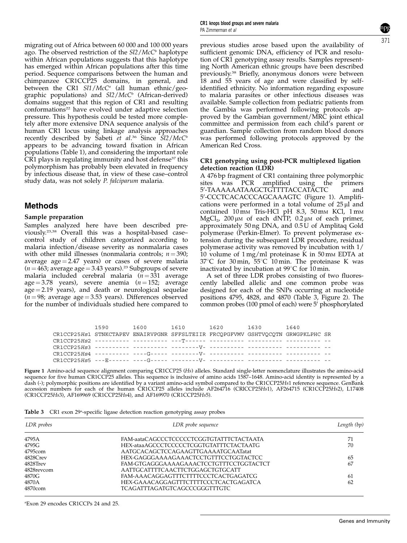migrating out of Africa between 60 000 and 100 000 years ago. The observed restriction of the  $SI2/McC<sup>b</sup>$  haplotype within African populations suggests that this haplotype has emerged within African populations after this time period. Sequence comparisons between the human and chimpanzee CR1CCP25 domains, in general, and between the CR1  $SI1/McC<sup>a</sup>$  (all human ethnic/geographic populations) and  $Sl2/McC<sup>b</sup>$  (African-derived) domains suggest that this region of CR1 and resulting conformations<sup>22</sup> have evolved under adaptive selection pressure. This hypothesis could be tested more completely after more extensive DNA sequence analysis of the human CR1 locus using linkage analysis approaches recently described by Sabeti et al.<sup>36</sup> Since  $\overline{S}$ 12/McC<sup>b</sup> appears to be advancing toward fixation in African populations (Table 1), and considering the important role  $CR1$  plays in regulating immunity and host defense<sup>37</sup> this polymorphism has probably been elevated in frequency by infectious disease that, in view of these case–control study data, was not solely P. falciparum malaria.

## Methods

#### Sample preparation

Samples analyzed here have been described previously.23,38 Overall this was a hospital-based case– control study of children categorized according to malaria infection/disease severity as nonmalaria cases with other mild illnesses (nonmalaria controls;  $n = 390$ ; average  $age = 2.47$  years) or cases of severe malaria  $(n = 463;$  average age = 3.43 years).<sup>23</sup> Subgroups of severe malaria included cerebral malaria  $(n = 331)$  average age = 3.78 years), severe anemia  $(n = 152;$  average  $age = 2.19$  years), and death or neurological sequelae  $(n = 98;$  average age = 3.53 years). Differences observed for the number of individuals studied here compared to previous studies arose based upon the availability of sufficient genomic DNA, efficiency of PCR and resolution of CR1 genotyping assay results. Samples representing North American ethnic groups have been described previously.<sup>38</sup> Briefly, anonymous donors were between 18 and 55 years of age and were classified by selfidentified ethnicity. No information regarding exposure to malaria parasites or other infectious diseases was available. Sample collection from pediatric patients from the Gambia was performed following protocols approved by the Gambian government/MRC joint ethical committee and permission from each child's parent or guardian. Sample collection from random blood donors was performed following protocols approved by the American Red Cross.

#### CR1 genotyping using post-PCR multiplexed ligation detection reaction (LDR)

A 476 bp fragment of CR1 containing three polymorphic<br>sites was PCR amplified using the primers sites was PCR amplified using the primers 5'-TAAAAAAATAAGCTGTTTTACCATĂCTC and 5'-CCCTCACACCCAGCAAAGTC (Figure 1). Amplifications were performed in a total volume of  $25 \mu$  and contained 10 mm Tris-HCl pH 8.3, 50 mm KCl, 1 mm MgCl<sub>2</sub>, 200  $\mu$ M of each dNTP, 0.2  $\mu$ M of each primer, approximately 50 ng DNA, and 0.5 U of Amplitaq Gold polymerase (Perkin-Elmer). To prevent polymerase extension during the subsequent LDR procedure, residual polymerase activity was removed by incubation with 1/ 10 volume of  $1 \text{ mg/ml}$  proteinase K in 50 mm EDTA at 37 $\degree$ C for 30 min, 55 $\degree$ C 10 min. The proteinase K was inactivated by incubation at  $99^{\circ}$ C for 10 min.

A set of three LDR probes consisting of two fluorescently labelled allelic and one common probe was designed for each of the SNPs occurring at nucleotide positions 4795, 4828, and 4870 (Table 3, Figure 2). The common probes  $(100 \text{ pmol of each})$  were  $5'$  phosphorylated

|                                                                                  | 1590 - 1590 - 1591 - 1592 - 1593 - 1594 - 1595 - 1596 - 1596 - 1596 - 1596 - 1596 - 1597 - 1597 - 1597 - 1597 - 1597 - 1597 - 1597 - 1597 - 1597 - 1597 - 1597 - 1597 - 1597 - 1597 - 1597 - 1597 - 1597 - 1597 - 1597 - 1597 - |  | 1600 1610 1620 1630 1640 |  |  |
|----------------------------------------------------------------------------------|---------------------------------------------------------------------------------------------------------------------------------------------------------------------------------------------------------------------------------|--|--------------------------|--|--|
| CR1CCP25Hs1 STNKCTAPEV ENAIRVPGNR SFFSLTEIIR FRCOPGFVMV GSHTVOCOTN GRWGPKLPHC SR |                                                                                                                                                                                                                                 |  |                          |  |  |
|                                                                                  |                                                                                                                                                                                                                                 |  |                          |  |  |
|                                                                                  |                                                                                                                                                                                                                                 |  |                          |  |  |
|                                                                                  |                                                                                                                                                                                                                                 |  |                          |  |  |
|                                                                                  |                                                                                                                                                                                                                                 |  |                          |  |  |

Figure 1 Amino-acid sequence alignment comparing CR1CCP25 (Hs) alleles. Standard single-letter nomenclature illustrates the amino-acid sequence for five human CR1CCP25 alleles. This sequence is inclusive of amino acids 1587–1648. Amino-acid identity is represented by a dash (-); polymorphic positions are identified by a variant amino-acid symbol compared to the CR1CCP25Hs1 reference sequence. GenBank accession numbers for each of the human CR1CCP25 alleles include AF264716 (CRlCCP25Hs1), AF264715 (CR1CCP25Hs2), L17408 (CR1CCP25Hs3), AF169969 (CR1CCP25Hs4), and AF169970 (CR1CCP25Hs5).

Table 3 CR1 exon 29<sup>a</sup>-specific ligase detection reaction genotyping assay probes

| LDR probes  | LDR probe sequence                       | Length (bp) |  |
|-------------|------------------------------------------|-------------|--|
| 4795A       | FAM-aataCAGCCCTCCCCCTCGGTGTATTTCTACTAATA | 71          |  |
| 4795G       | HEX-ataaAGCCCTCCCCCTCGGTGTATTTCTACTAATG  | 70          |  |
| 4795com     | AATGCACAGCTCCAGAAGTTGAAAATGCAATatat      |             |  |
| $4828C$ rev | HEX-GAGGGAAAAGAAACTCCTGTTTCCTGGTACTCC    | 65          |  |
| 4828Trev    | FAM-GTGAGGGAAAAGAAACTCCTGTTTCCTGGTACTCT  | 67          |  |
| 4828revcom  | AATTGCATTTTCAACTTCTGGAGCTGTGCATT         |             |  |
| 4870G       | FAM-AAACAGGAGTTTCTTTTCCCTCACTGAGATCG     | 61          |  |
| 4870A       | HEX-GAAACAGGAGTTTCTTTTCCCTCACTGAGATCA    | 62          |  |
| 4870com     | TCAGATTTAGATGTCAGCCCGGGTTTGTC            |             |  |

a Exon 29 encodes CR1CCPs 24 and 25.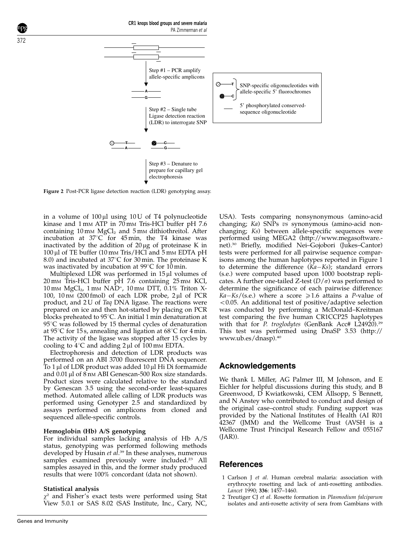

Figure 2 Post-PCR ligase detection reaction (LDR) genotyping assay.

in a volume of  $100 \mu l$  using  $10 U$  of T4 polynucleotide kinase and 1 mm ATP in 70 mm Tris-HCl buffer pH 7.6 containing  $10 \text{ mm}$  MgCl<sub>2</sub> and  $5 \text{ mm}$  dithiothreitol. After incubation at  $37^{\circ}$ C for 45 min, the T4 kinase was inactivated by the addition of  $20 \mu$ g of proteinase K in  $100 \,\mu$ l of TE buffer (10 mm Tris/HCl and 5 mm EDTA pH 8.0) and incubated at  $37^{\circ}$ C for 30 min. The proteinase K was inactivated by incubation at  $99^{\circ}$ C for 10 min.

Multiplexed LDR was performed in  $15 \mu l$  volumes of  $20 \text{ mm}$  Tris-HCl buffer pH 7.6 containing  $25 \text{ mm}$  KCl, 10 mм MgCl<sub>2</sub>, 1 mм NAD<sup>+</sup>, 10 mм DTT, 0.1% Triton X-100, 10  $\text{nm}$  (200 fmol) of each LDR probe, 2  $\mu$ l of PCR product, and 2 U of Taq DNA ligase. The reactions were prepared on ice and then hot-started by placing on PCR blocks preheated to  $95^{\circ}$ C. An initial 1 min denaturation at  $95^{\circ}$ C was followed by 15 thermal cycles of denaturation at 95 $\degree$ C for 15 s, annealing and ligation at 68 $\degree$ C for 4 min. The activity of the ligase was stopped after 15 cycles by cooling to  $4^{\circ}$ C and adding 2 µl of 100 mm EDTA.

Electrophoresis and detection of LDR products was performed on an ABI 3700 fluorescent DNA sequencer. To  $1 \mu$ l of LDR product was added  $10 \mu$ l Hi Di formamide and 0.01 µl of 8 nm ABI Genescan-500 Rox size standards. Product sizes were calculated relative to the standard by Genescan 3.5 using the second-order least-squares method. Automated allele calling of LDR products was performed using Genotyper 2.5 and standardized by assays performed on amplicons from cloned and sequenced allele-specific controls.

#### Hemoglobin (Hb) A/S genotyping

For individual samples lacking analysis of Hb A/S status, genotyping was performed following methods developed by Husain *et al*.<sup>39</sup> In these analyses, numerous samples examined previously were included.<sup>23</sup> All samples assayed in this, and the former study produced results that were 100% concordant (data not shown).

#### Statistical analysis

 $\chi^2$  and Fisher's exact tests were performed using Stat View 5.0.1 or SAS 8.02 (SAS Institute, Inc., Cary, NC,

USA). Tests comparing nonsynonymous (amino-acid changing; Ka) SNPs vs synonymous (amino-acid nonchanging; Ks) between allele-specific sequences were performed using MEGA2 (http://www.megasoftware. net).30 Briefly, modified Nei–Gojobori (Jukes–Cantor) tests were performed for all pairwise sequence comparisons among the human haplotypes reported in Figure 1 to determine the difference  $(Ka-Ks)$ ; standard errors (s.e.) were computed based upon 1000 bootstrap replicates. A further one-tailed Z-test  $(D/\sigma)$  was performed to determine the significance of each pairwise difference:  $Ka-Ks/(s.e.)$  where a score  $\ge 1.6$  attains a P-value of  $<$  0.05. An additional test of positive/adaptive selection was conducted by performing a McDonald–Kreitman test comparing the five human CR1CCP25 haplotypes with that for P. troglodytes (GenBank Acc# L24920).<sup>29</sup> This test was performed using DnaSP 3.53 (http:// www.ub.es/dnasp).40

## Acknowledgements

We thank L Miller, AG Palmer III, M Johnson, and E Eichler for helpful discussions during this study, and B Greenwood, D Kwiatkowski, CEM Allsopp, S Bennett, and N Anstey who contributed to conduct and design of the original case–control study. Funding support was provided by the National Institutes of Health (AI R01 42367 (JMM) and the Wellcome Trust (AVSH is a Wellcome Trust Principal Research Fellow and 055167 (JAR)).

## References

- 1 Carlson J et al. Human cerebral malaria: association with erythrocyte rosetting and lack of anti-rosetting antibodies. Lancet 1990; 336: 1457–1460.
- 2 Treutiger CJ et al. Rosette formation in Plasmodium falciparum isolates and anti-rosette activity of sera from Gambians with